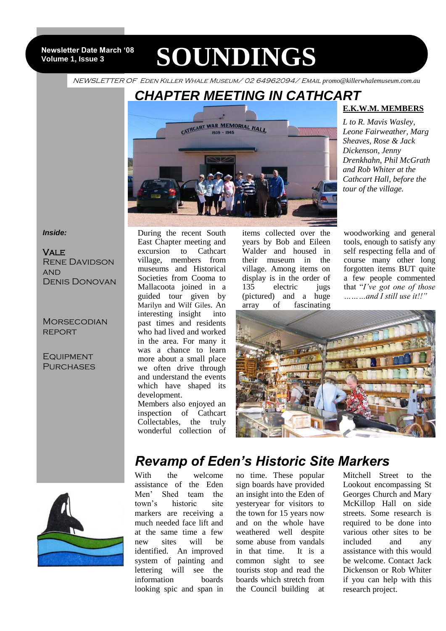**Newsletter Date March '08 Volume 1, Issue 3**

# **SOUNDINGS**

NEWSLETTER OF Eden Killer Whale Museum/ 02 64962094/ Email *promo@killerwhalemuseum.com.au*

# *CHAPTER MEETING IN CATHCART*



### **E.K.W.M. MEMBERS**

*L to R. Mavis Wasley, Leone Fairweather, Marg Sheaves, Rose & Jack Dickenson, Jenny Drenkhahn, Phil McGrath and Rob Whiter at the Cathcart Hall, before the tour of the village.*

#### *Inside:*

**VALE** Rene Davidson **AND** Denis Donovan

**MORSECODIAN REPORT** 

**EQUIPMENT PURCHASES** 

During the recent South East Chapter meeting and excursion to Cathcart village, members from museums and Historical Societies from Cooma to Mallacoota joined in a guided tour given by Marilyn and Wilf Giles. An interesting insight into past times and residents who had lived and worked in the area. For many it was a chance to learn more about a small place we often drive through and understand the events which have shaped its development. Members also enjoyed an

inspection of Cathcart Collectables, the truly wonderful collection of

items collected over the years by Bob and Eileen Walder and housed in their museum in the village. Among items on display is in the order of 135 electric jugs (pictured) and a huge array of fascinating

woodworking and general tools, enough to satisfy any self respecting fella and of course many other long forgotten items BUT quite a few people commented that "*I've got one of those ………and I still use it!!"*





## *Revamp of Eden's Historic Site Markers*

With the welcome assistance of the Eden Men' Shed team the town's historic site markers are receiving a much needed face lift and at the same time a few new sites will be identified. An improved system of painting and lettering will see the information boards looking spic and span in

no time. These popular sign boards have provided an insight into the Eden of yesteryear for visitors to the town for 15 years now and on the whole have weathered well despite some abuse from vandals in that time. It is a common sight to see tourists stop and read the boards which stretch from the Council building at

Mitchell Street to the Lookout encompassing St Georges Church and Mary McKillop Hall on side streets. Some research is required to be done into various other sites to be included and any assistance with this would be welcome. Contact Jack Dickenson or Rob Whiter if you can help with this research project.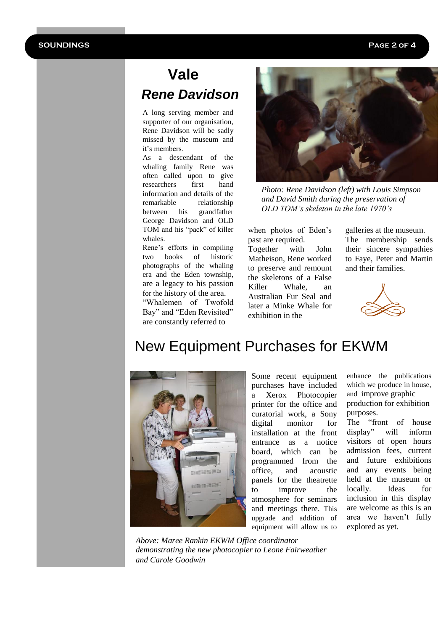# **Vale**  *Rene Davidson*

A long serving member and supporter of our organisation, Rene Davidson will be sadly missed by the museum and it's members.

As a descendant of the whaling family Rene was often called upon to give researchers first hand information and details of the remarkable relationship between his grandfather George Davidson and OLD TOM and his "pack" of killer whales.

Rene's efforts in compiling two books of historic photographs of the whaling era and the Eden township, are a legacy to his passion for the history of the area. "Whalemen of Twofold Bay" and "Eden Revisited" are constantly referred to



*Photo: Rene Davidson (left) with Louis Simpson and David Smith during the preservation of OLD TOM's skeleton in the late 1970's*

when photos of Eden's past are required. Together with John Matheison, Rene worked to preserve and remount the skeletons of a False Killer Whale, an Australian Fur Seal and later a Minke Whale for exhibition in the

galleries at the museum. The membership sends their sincere sympathies to Faye, Peter and Martin and their families.



# New Equipment Purchases for EKWM



Some recent equipment purchases have included a Xerox Photocopier printer for the office and curatorial work, a Sony digital monitor for installation at the front entrance as a notice board, which can be programmed from the office, and acoustic panels for the theatrette to improve the atmosphere for seminars and meetings there. This upgrade and addition of equipment will allow us to

enhance the publications which we produce in house, and improve graphic production for exhibition purposes.

The "front of house display" will inform visitors of open hours admission fees, current and future exhibitions and any events being held at the museum or locally. Ideas for inclusion in this display are welcome as this is an area we haven't fully explored as yet.

*Above: Maree Rankin EKWM Office coordinator demonstrating the new photocopier to Leone Fairweather and Carole Goodwin*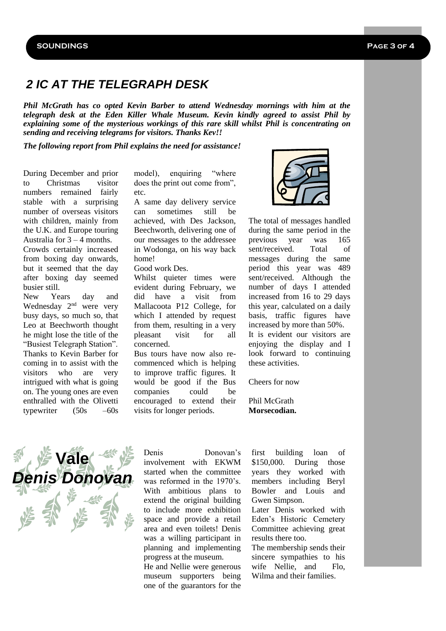## *2 IC AT THE TELEGRAPH DESK*

*Phil McGrath has co opted Kevin Barber to attend Wednesday mornings with him at the telegraph desk at the Eden Killer Whale Museum. Kevin kindly agreed to assist Phil by explaining some of the mysterious workings of this rare skill whilst Phil is concentrating on sending and receiving telegrams for visitors. Thanks Kev!!*

*The following report from Phil explains the need for assistance!*

During December and prior to Christmas visitor numbers remained fairly stable with a surprising number of overseas visitors with children, mainly from the U.K. and Europe touring Australia for  $3 - 4$  months. Crowds certainly increased from boxing day onwards, but it seemed that the day after boxing day seemed

New Years day and Wednesday 2<sup>nd</sup> were very busy days, so much so, that Leo at Beechworth thought he might lose the title of the "Busiest Telegraph Station". Thanks to Kevin Barber for coming in to assist with the visitors who are very intrigued with what is going on. The young ones are even enthralled with the Olivetti typewriter  $(50s - 60s$ 

busier still.

model), enquiring "where does the print out come from", etc.

A same day delivery service can sometimes still be achieved, with Des Jackson, Beechworth, delivering one of our messages to the addressee in Wodonga, on his way back home!

Good work Des.

Whilst quieter times were evident during February, we did have a visit from Mallacoota P12 College, for which I attended by request from them, resulting in a very pleasant visit for all concerned.

Bus tours have now also recommenced which is helping to improve traffic figures. It would be good if the Bus companies could be encouraged to extend their visits for longer periods.



The total of messages handled during the same period in the previous year was 165 sent/received. Total of messages during the same period this year was 489 sent/received. Although the number of days I attended increased from 16 to 29 days this year, calculated on a daily basis, traffic figures have increased by more than 50%. It is evident our visitors are enjoying the display and I look forward to continuing these activities.

Cheers for now

Phil McGrath **Morsecodian.**



Denis Donovan's involvement with EKWM started when the committee was reformed in the 1970's. With ambitious plans to extend the original building to include more exhibition space and provide a retail area and even toilets! Denis was a willing participant in planning and implementing progress at the museum.

He and Nellie were generous museum supporters being one of the guarantors for the

first building loan of \$150,000. During those years they worked with members including Beryl Bowler and Louis and Gwen Simpson.

Later Denis worked with Eden's Historic Cemetery Committee achieving great results there too.

The membership sends their sincere sympathies to his wife Nellie, and Flo. Wilma and their families.